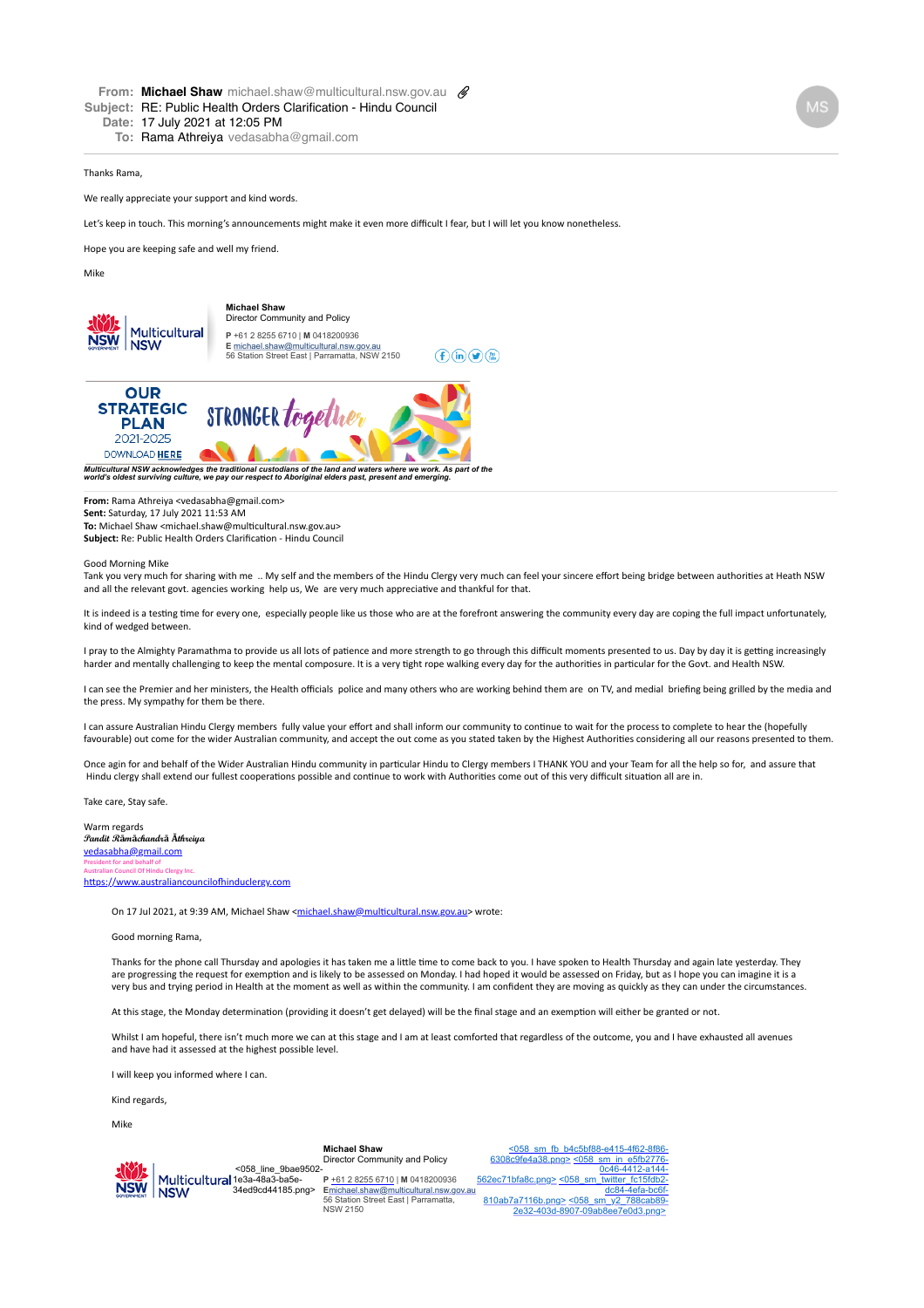**To:** Rama Athreiya vedasabha@gmail.com

## Thanks Rama,

We really appreciate your support and kind words.

Let's keep in touch. This morning's announcements might make it even more difficult I fear, but I will let you know nonetheless.

Hope you are keeping safe and well my friend.

Mike



[Multicultural NSW acknowledges the traditional custodians of the land and waters where we work. As part](https://multicultural.nsw.gov.au/other-publications/strategic-plan-2021-2025) of the<br>world's oldest surviving culture, we pay our respect to Aboriginal elders past, present and emerging.

**From:** Rama Athreiya <vedasabha@gmail.com> 

**Sent:** Saturday, 17 July 2021 11:53 AM

**To:** Michael Shaw <michael.shaw@multicultural.nsw.gov.au> **Subject:** Re: Public Health Orders Clarification - Hindu Council

## Good Morning Mike

Tank you very much for sharing with me .. My self and the members of the Hindu Clergy very much can feel your sincere effort being bridge between authorities at Heath NSW and all the relevant govt. agencies working help us, We are very much appreciative and thankful for that.

It is indeed is a testing time for every one, especially people like us those who are at the forefront answering the community every day are coping the full impact unfortunately, kind of wedged between

I pray to the Almighty Paramathma to provide us all lots of patience and more strength to go through this difficult moments presented to us. Day by day it is getting increasingly harder and mentally challenging to keep the mental composure. It is a very tight rope walking every day for the authorities in particular for the Govt. and Health NSW.

I can see the Premier and her ministers, the Health officials police and many others who are working behind them are on TV, and medial briefing being grilled by the media and the press. My sympathy for them be there.

I can assure Australian Hindu Clergy members fully value your effort and shall inform our community to continue to wait for the process to complete to hear the (hopefully favourable) out come for the wider Australian community, and accept the out come as you stated taken by the Highest Authorities considering all our reasons presented to them.

Once agin for and behalf of the Wider Australian Hindu community in particular Hindu to Clergy members I THANK YOU and your Team for all the help so for, and assure that Hindu clergy shall extend our fullest cooperations possible and continue to work with Authorities come out of this very difficult situation all are in.

Take care, Stay safe.

Warm regards **Pandit Rāmāchandrā Āthreiya** [vedasabha@gmail.com](mailto:vedasabha@gmail.com) **President for and behalf of Australian Council Of Hindu Clergy Inc.** https://www.australiancouncilofhinduclergy.com

On 17 Jul 2021, at 9:39 AM, Michael Shaw <michael.shaw@multicultural.nsw.gov.au> wrote:

## Good morning Rama,

Thanks for the phone call Thursday and apologies it has taken me a little time to come back to you. I have spoken to Health Thursday and again late yesterday. They are progressing the request for exemption and is likely to be assessed on Monday. I had hoped it would be assessed on Friday, but as I hope you can imagine it is a very bus and trying period in Health at the moment as well as within the community. I am confident they are moving as quickly as they can under the circumstances.

At this stage, the Monday determination (providing it doesn't get delayed) will be the final stage and an exemption will either be granted or not.

Whilst I am hopeful, there isn't much more we can at this stage and I am at least comforted that regardless of the outcome, you and I have exhausted all avenues and have had it assessed at the highest possible level.

I will keep you informed where I can.

Kind regards.

Mike

## **Michael Shaw** Director Community and Policy

[.<058\\_sm\\_fb\\_b4c5bf88-e415-4f62-8f86-](https://www.facebook.com/multiculturalnsw/) 6308c9fe4a38.png> <058\_sm\_in\_e5fb2776- 0c46-4412-a144-

.<058\_line\_9bae9502- Multicultural 1e3a-48a3-ba5e-**NSW** 34ed9cd44185.png> **NSW** 

**P** [+61 2 8255 6710](tel:+61%202%208255%206710) | **M** 0418200936 **E**[michael.shaw@multicultural.nsw.gov.au](mailto:michael.shaw@multicultural.nsw.gov.au) 56 Station Street East | Parramatta, NSW 2150

562ec71bfa8c.png> [<058\\_sm\\_twitter\\_fc15fdb2](https://www.linkedin.com/company/multicultural-nsw) dc84-4efa-bc6f-810ab7a7116b.png> <058\_sm\_y2\_788cab89- [2e32-403d-8907-09ab8ee7e0d3.png>](https://www.youtube.com/channel/UCaLEKNj7xSNA4yBNuFeqdLg)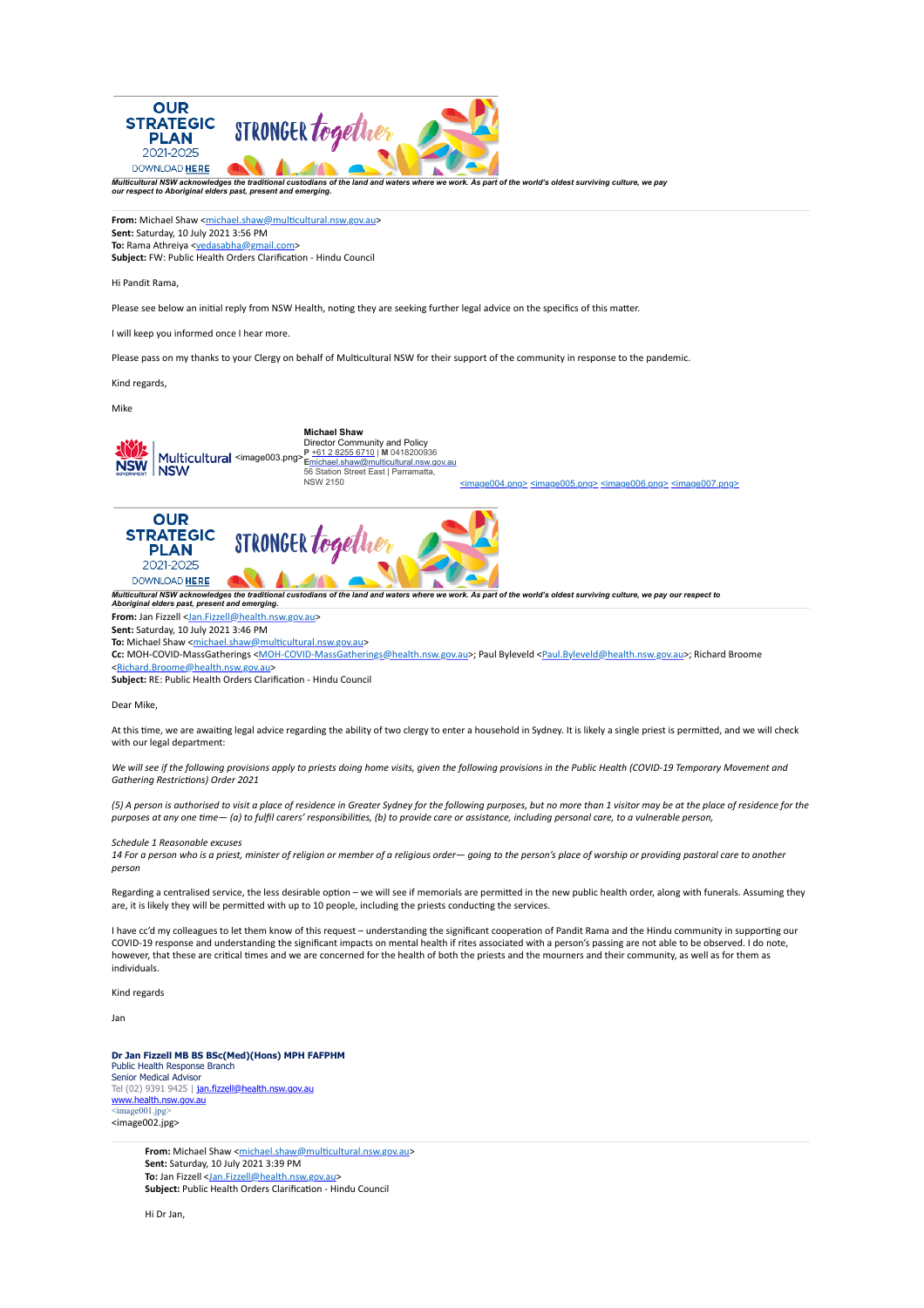

Dear Mike,

At this time, we are awaiting legal advice regarding the ability of two clergy to enter a household in Sydney. It is likely a single priest is permitted, and we will check with our legal department:

We will see if the following provisions apply to priests doing home visits, given the following provisions in the Public Health (COVID-19 Temporary Movement and *Gathering RestricHons) Order 2021*

(5) A person is authorised to visit a place of residence in Greater Sydney for the following purposes, but no more than 1 visitor may be at the place of residence for the purposes at any one time— (a) to fulfil carers' responsibilities, (b) to provide care or assistance, including personal care, to a vulnerable person,

*Schedule 1 Reasonable excuses*

14 For a person who is a priest, minister of religion or member of a religious order—*going* to the person's place of worship or providing pastoral care to another *person*

Regarding a centralised service, the less desirable option – we will see if memorials are permitted in the new public health order, along with funerals. Assuming they are, it is likely they will be permitted with up to 10 people, including the priests conducting the services.

I have cc'd my colleagues to let them know of this request - understanding the significant cooperation of Pandit Rama and the Hindu community in supporting our COVID-19 response and understanding the significant impacts on mental health if rites associated with a person's passing are not able to be observed. I do note, however, that these are critical times and we are concerned for the health of both the priests and the mourners and their community, as well as for them as individuals.

Kind regards

Jan

**Dr Jan Fizzell MB BS BSc(Med)(Hons) MPH FAFPHM** Public Health Response Branch Senior Medical Advisor Tel (02) 9391 9425 | j<u>an.fizzell@health.nsw.gov.au</u><br>[www.health.nsw.gov.au](http://www.health.nsw.gov.au/)  $image001$ .jpg <image002.jpg>

> **From:** Michael Shaw <michael.shaw@multicultural.nsw.gov.au> **Sent:** Saturday, 10 July 2021 3:39 PM **To:** Jan Fizzell <[Jan.Fizzell@health.nsw.gov.au>](mailto:Jan.Fizzell@health.nsw.gov.au) **Subject:** Public Health Orders Clarification - Hindu Council